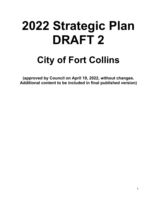# **2022 Strategic Plan DRAFT 2**

## **City of Fort Collins**

**(approved by Council on April 19, 2022, without changes. Additional content to be included in final published version)**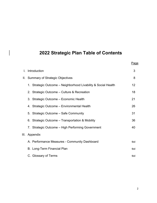## **2022 Strategic Plan Table of Contents**

|      |                                                                | Page |
|------|----------------------------------------------------------------|------|
| L.   | Introduction                                                   | 3    |
|      | II. Summary of Strategic Objectives                            | 8    |
|      | 1. Strategic Outcome - Neighborhood Livability & Social Health | 12   |
|      | 2. Strategic Outcome – Culture & Recreation                    | 18   |
|      | 3. Strategic Outcome - Economic Health                         | 21   |
|      | 4. Strategic Outcome - Environmental Health                    | 26   |
|      | 5. Strategic Outcome - Safe Community                          | 31   |
|      | 6. Strategic Outcome – Transportation & Mobility               | 36   |
|      | 7. Strategic Outcome - High Performing Government              | 40   |
| III. | Appendix                                                       |      |
|      | A. Performance Measures - Community Dashboard                  | tbd  |
|      | <b>B. Long-Term Financial Plan</b>                             | tbd  |
|      | C. Glossary of Terms                                           | tbd  |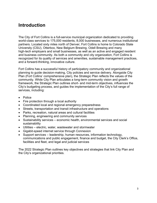## **Introduction**

The City of Fort Collins is a full-service municipal organization dedicated to providing world-class services to 175,000 residents, 8,000 businesses, and numerous institutional partners. Located sixty miles north of Denver, Fort Collins is home to Colorado State University (CSU), Otterbox, New Belgium Brewing, Odell Brewing and many high-tech employers and small businesses, as well as an active and engaged resident and business community. As both a community and city organization, Fort Collins is recognized for its quality of services and amenities, sustainable management practices, and a forward-thinking, innovative culture.

Fort Collins has a successful history of participatory community and organizational planning to guide decision-making, City policies and service delivery. Alongside City Plan (Fort Collins' comprehensive plan), the Strategic Plan reflects the values of the community. While City Plan articulates a long-term community vision and growth framework, the Strategic Plan outlines short- and mid-term objectives, influences the City's budgeting process, and guides the implementation of the City's full range of services, including:

- Police
- Fire protection through a local authority
- Coordinated local and regional emergency preparedness
- Streets, transportation and transit infrastructure and operations
- Parks, recreation, natural areas and cultural facilities
- Planning, engineering and community services
- Sustainability services economic health, environmental services and social sustainability
- Utilities electric, water, wastewater and stormwater
- Gigabit-speed internet service through Connexion
- Support services leadership, human resources, information technology, communications and public engagement, finance and budget, the City Clerk's Office, facilities and fleet, and legal and judicial services

The 2022 Strategic Plan outlines key objectives and strategies that link City Plan and the City's organizational priorities.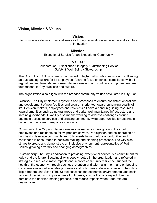#### **Vision, Mission & Values**

#### **Vision:**

To provide world-class municipal services through operational excellence and a culture of innovation

#### **Mission:**

Exceptional Service for an Exceptional Community

#### **Values:**

Collaboration • Excellence • Integrity • Outstanding Service Safety & Well-Being • Stewardship

The City of Fort Collins is deeply committed to high-quality public service and cultivating an outstanding culture for its employees. A strong focus on ethics, compliance with all regulations and laws, data-informed decision-making and continuous improvement are foundational to City practices and culture.

The organization also aligns with the broader community values articulated in City Plan:

*Livability:* The City implements systems and processes to ensure consistent operations and development of new facilities and programs oriented toward enhancing quality of life. Decision-makers, employees and residents all have a hand in guiding resources toward amenities such as natural areas and parks, well-maintained infrastructure and safe neighborhoods. Livability also means working to address challenges around equitable access to services and creating community-wide opportunities for attainable housing and efficient transportation options.

*Community:* The City and decision-makers value honest dialogue and the input of employees and residents as fellow problem solvers. Participation and collaboration on how best to leverage community and City assets toward future opportunities and challenges is encouraged in decision-making and planning processes. The City also strives to create and demonstrate an inclusive environment representative of Fort Collins' growing diversity and changing demographics.

*Sustainability:* The City's dedication to providing exceptional service is a commitment for today and the future. Sustainability is deeply rooted in the organization and reflected in strategies to reduce climate impacts and improve community resilience, support the health of the economy through business retention and talent alignment, and embedding considerations about equitable processes and outcomes in decision-making. The City's Triple Bottom Line Scan (TBL-S) tool assesses the economic, environmental and social factors of decisions to improve overall outcomes, ensure that one aspect does not dominate the decision-making process, and reduce impacts when trade-offs are unavoidable.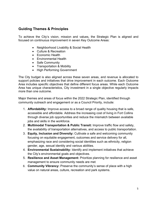#### **Guiding Themes & Principles**

To achieve the City's vision, mission and values, the Strategic Plan is aligned and focused on continuous improvement in seven Key Outcome Areas:

- Neighborhood Livability & Social Health
- Culture & Recreation
- Economic Health
- Environmental Health
- Safe Community
- Transportation & Mobility
- High Performing Government

The City budget is also aligned across these seven areas, and revenue is allocated to support policies and initiatives that drive improvement in each outcome. Each Outcome Area includes specific objectives that define different focus areas. While each Outcome Area has unique characteristics, City investment in a single objective regularly impacts more than one outcome.

Major themes and areas of focus within the 2022 Strategic Plan, identified through community outreach and engagement or as a Council Priority, include:

- 1. **Affordability:** Improve access to a broad range of quality housing that is safe, accessible and affordable. Address the increasing cost of living in Fort Collins through diverse job opportunities and reduce the mismatch between available jobs and skills in the workforce.
- 2. **Multimodal Transportation & Public Transit:** Improve traffic flow and safety, the availability of transportation alternatives, and access to public transportation.
- 3. **Equity, Inclusion and Diversity:** Cultivate a safe and welcoming community focusing on equitable engagement, outcomes and service delivery for all, emphasizing race and considering social identities such as ethnicity, religion gender, age, sexual identity and various abilities.
- 4. **Environmental Sustainability:** Identify and implement initiatives that achieve the City's environmental goals and objectives.
- 5. **Resilience and Asset Management:** Prioritize planning for resilience and asset management to ensure community needs are met.
- 6. **Community Vibrancy:** Preserve the community's sense of place with a high value on natural areas, culture, recreation and park systems.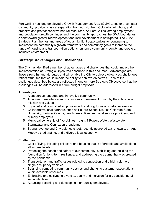Fort Collins has long employed a Growth Management Area (GMA) to foster a compact community, provide physical separation from our Northern Colorado neighbors, and preserve and protect sensitive natural resources. As Fort Collins' strong employment and population growth continues and the community approaches the GMA boundaries, a shift toward greater redevelopment and infill development is anticipated. The 2022 Strategic Plan themes and areas of focus highlight opportunities for continuing to implement the community's growth framework and community goals to increase the range of housing and transportation options, enhance community identity and create an inclusive environment.

#### **Strategic Advantages and Challenges**

The City has identified a number of advantages and challenges that could impact the implementation of Strategic Objectives described in this document. Advantages are those strengths and attributes that will enable the City to achieve objectives; challenges reflect attributes that could impair the ability to achieve objectives. Each of the challenges described below are reflected in one or more Strategic Objective so that the challenges will be addressed in future budget proposals.

#### **Advantages:**

- 1. A supportive, engaged and innovative community.
- 2. A culture of excellence and continuous improvement driven by the City's vision, mission and values.
- 3. Engaged and committed employees with a strong focus on customer service.
- 4. Collaborative local partners, such as Poudre School District, Colorado State University, Larimer County, healthcare entities and local service providers, and primary employers.
- 5. Municipal ownership of five Utilities Light & Power, Water, Wastewater, Stormwater and Connexion broadband.
- 6. Strong revenue and City balance sheet, recently approved tax renewals, an Aaa Moody's credit rating, and a diverse local economy.

#### **Challenges:**

- 1. Cost of living, including childcare and housing that is affordable and available to all income levels.
- 2. Protecting the health and safety of our community, stabilizing and building the foundation for long-term resilience, and addressing the trauma that was created by the pandemic.
- 3. Transportation and traffic issues related to congestion and a high volume of single-occupancy vehicles.
- 4. Balancing competing community desires and changing customer expectations within available resources.
- 5. Embracing and cultivating diversity, equity and inclusion for all, considering all social identities.
- 6. Attracting, retaining and developing high-quality employees.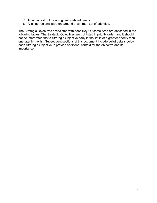- 7. Aging infrastructure and growth-related needs.
- 8. Aligning regional partners around a common set of priorities.

The Strategic Objectives associated with each Key Outcome Area are described in the following tables. The Strategic Objectives are not listed in priority order, and it should not be interpreted that a Strategic Objective early in the list is of a greater priority than one later in the list. Subsequent sections of this document include bullet details below each Strategic Objective to provide additional context for the objective and its importance.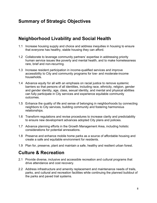## **Summary of Strategic Objectives**

## **Neighborhood Livability and Social Health**

- 1.1 Increase housing supply and choice and address inequities in housing to ensure that everyone has healthy, stable housing they can afford.
- 1.2 Collaborate to leverage community partners' expertise in addressing priority human service issues like poverty and mental health, and to make homelessness rare, brief and non-recurring.
- 1.3 Increase resident participation in income-qualified services and improve accessibility to City and community programs for low- and moderate-income households.
- 1.4 Advance equity for all with an emphasis on racial justice to remove systemic barriers so that persons of all identities, including race, ethnicity, religion, gender and gender identity, age, class, sexual identity, and mental and physical abilities can fully participate in City services and experience equitable community outcomes.
- 1.5 Enhance the quality of life and sense of belonging in neighborhoods by connecting neighbors to City services, building community and fostering harmonious relationships.
- 1.6 Transform regulations and revise procedures to increase clarity and predictability to ensure new development advances adopted City plans and policies.
- 1.7 Advance planning efforts in the Growth Management Area, including holistic considerations for potential annexations.
- 1.8 Preserve and enhance mobile home parks as a source of affordable housing and create a safe and equitable environment for residents.
- 1.9 Plan for, preserve, plant and maintain a safe, healthy and resilient urban forest.

## **Culture & Recreation**

- 2.1 Provide diverse, inclusive and accessible recreation and cultural programs that drive attendance and cost recovery.
- 2.2 Address infrastructure and amenity replacement and maintenance needs of trails, parks, and cultural and recreation facilities while continuing the planned buildout of the parks and paved trail systems.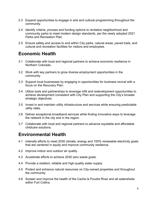- 2.3 Expand opportunities to engage in arts and cultural programming throughout the community.
- 2.4 Identify criteria, process and funding options to revitalize neighborhood and community parks to meet modern design standards, per the newly adopted 2021 Parks and Recreation Plan.
- 2.5 Ensure safety and access to and within City parks, natural areas, paved trails, and cultural and recreation facilities for visitors and employees.

## **Economic Health**

- 3.1 Collaborate with local and regional partners to achieve economic resilience in Northern Colorado.
- 3.2 Work with key partners to grow diverse employment opportunities in the community.
- 3.3 Support local businesses by engaging in opportunities for business revival with a focus on the Recovery Plan.
- 3.4 Utilize tools and partnerships to leverage infill and redevelopment opportunities to achieve development consistent with City Plan and supporting the City's broader strategic objectives.
- 3.5 Invest in and maintain utility infrastructure and services while ensuring predictable utility rates.
- 3.6 Deliver exceptional broadband services while finding innovative ways to leverage the network in the city and in the region.
- 3.7 Collaborate with local and regional partners to advance equitable and affordable childcare solutions.

## **Environmental Health**

- 4.1 Intensify efforts to meet 2030 climate, energy and 100% renewable electricity goals that are centered in equity and improve community resilience.
- 4.2 Improve indoor and outdoor air quality.
- 4.3 Accelerate efforts to achieve 2030 zero waste goals.
- 4.4 Provide a resilient, reliable and high-quality water supply.
- 4.5 Protect and enhance natural resources on City-owned properties and throughout the community.
- 4.6 Sustain and improve the health of the Cache la Poudre River and all watersheds within Fort Collins.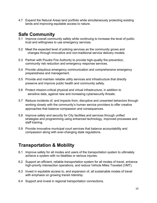4.7 Expand the Natural Areas land portfolio while simultaneously protecting existing lands and improving equitable access to nature.

## **Safe Community**

- 5.1 Improve overall community safety while continuing to increase the level of public trust and willingness to use emergency services.
- 5.2 Meet the expected level of policing services as the community grows and changes through innovative and non-traditional service delivery models.
- 5.3 Partner with Poudre Fire Authority to provide high-quality fire prevention, community risk reduction and emergency response services.
- 5.4 Provide ubiquitous emergency communication and comprehensive emergency preparedness and management.
- 5.5 Provide and maintain reliable utility services and infrastructure that directly preserve and improve public health and community safety.
- 5.6 Protect mission-critical physical and virtual infrastructure, in addition to sensitive data, against new and increasing cybersecurity threats.
- 5.7 Reduce incidents of, and impacts from, disruptive and unwanted behaviors through working closely with the community's human service providers to offer creative approaches that balance compassion and consequences.
- 5.8 Improve safety and security for City facilities and services through unified strategies and programming using enhanced technology, improved processes and staff training.
- 5.9 Provide innovative municipal court services that balance accountability and compassion along with ever-changing state regulations.

## **Transportation & Mobility**

- 6.1 Improve safety for all modes and users of the transportation system to ultimately achieve a system with no fatalities or serious injuries.
- 6.2 Support an efficient, reliable transportation system for all modes of travel, enhance high-priority intersection operations, and reduce Vehicle Miles Traveled (VMT).
- 6.3 Invest in equitable access to, and expansion of, all sustainable modes of travel with emphasis on growing transit ridership.
- 6.4 Support and invest in regional transportation connections.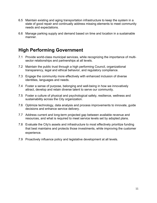- 6.5 Maintain existing and aging transportation infrastructure to keep the system in a state of good repair and continually address missing elements to meet community needs and expectations.
- 6.6 Manage parking supply and demand based on time and location in a sustainable manner.

## **High Performing Government**

- 7.1 Provide world-class municipal services, while recognizing the importance of multisector relationships and partnerships at all levels.
- 7.2 Maintain the public trust through a high performing Council, organizational transparency, legal and ethical behavior, and regulatory compliance.
- 7.3 Engage the community more effectively with enhanced inclusion of diverse identities, languages and needs.
- 7.4 Foster a sense of purpose, belonging and well-being in how we innovatively attract, develop and retain diverse talent to serve our community.
- 7.5 Foster a culture of physical and psychological safety, resilience, wellness and sustainability across the City organization.
- 7.6 Optimize technology, data analysis and process improvements to innovate, guide decisions and enhance service delivery.
- 7.7 Address current and long-term projected gap between available revenue and resources, and what is required to meet service levels set by adopted plans.
- 7.8 Evaluate the City's assets and infrastructure to most effectively prioritize funding that best maintains and protects those investments, while improving the customer experience.
- 7.9 Proactively influence policy and legislative development at all levels.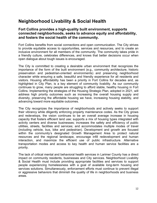## **Neighborhood Livability & Social Health**

#### **Fort Collins provides a high-quality built environment, supports connected neighborhoods, seeks to advance equity and affordability, and fosters the social health of the community.**

Fort Collins benefits from social connections and open communication. The City strives to provide equitable access to opportunities, services and resources, and to create an inclusive environment for all members of the community. The community takes pride in a friendly culture, celebrates differences, and knows that better decisions occur when open dialogue about tough issues is encouraged.

The City is committed to creating a desirable urban environment that recognizes the importance of the form of the built environment (e.g., community architecture, historic preservation and pedestrian-oriented environments) and preserving neighborhood character while ensuring a safe, beautiful and friendly experience for all residents and visitors. Housing affordability has been a priority in Fort Collins for decades and, as highlighted in City Plan, is a key element of community livability. As our community continues to grow, many people are struggling to afford stable, healthy housing in Fort Collins. Implementing the strategies of the Housing Strategic Plan, adopted in 2021, will address high priority outcomes such as increasing the overall housing supply and diversity, preserving the affordable housing we have, increasing housing stability, and advancing toward more equitable outcomes.

The City recognizes the importance of neighborhoods and actively seeks to support their vibrancy while diligently enforcing property maintenance codes. As the City grows and redevelops, the vision continues to be an overall average increase in housing capacity that fosters efficient land use; supports a mix of housing types integrated with activity centers and diverse businesses; increases the safety and efficiency of public utilities, streets, facilities and services; and accommodates multiple modes of travel (including vehicle, bus, bike and pedestrian). Development and growth are focused within the community's designated Growth Management Area to protect natural resources and the regional landscape, encourage infill redevelopment and human interaction, and maximize the efficient use of public infrastructure. Alternative transportation modes and access to key health and human service facilities are a priority.

The lack of critical mental and behavioral health services in Larimer County has a direct impact on community residents, businesses and City services. Neighborhood Livability & Social Health must include providing appropriate facilities and services to support people experiencing homelessness with a goal of available long-term housing and services solutions. Simultaneously, enforcement efforts must continue to prevent illegal or aggressive behaviors that diminish the quality of life in neighborhoods and business areas.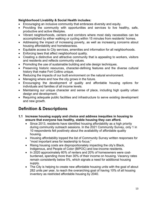#### **Neighborhood Livability & Social Health includes:**

- Encouraging an inclusive community that embraces diversity and equity.
- Providing the community with opportunities and services to live healthy, safe, productive and active lifestyles.
- Vibrant neighborhoods, centers and corridors where most daily necessities can be accomplished by either walking or cycling within 15 minutes from residents' homes.
- Addressing the impact of increasing poverty, as well as increasing concerns about housing affordability and homelessness.
- Equitable access to City services, amenities and information for all neighborhoods.
- Enforcing laws that affect neighborhood quality.
- Creating a distinctive and attractive community that is appealing to workers, visitors and residents and reflects community values.
- Promoting the use of sustainable building and site design techniques.
- Preserving historic resources, character-defining features and the diverse cultural history that make Fort Collins unique.
- Reducing the impacts of our built environment on the natural environment.
- Managing where and how the city grows in the future.
- Encouraging the development of quality and affordable housing options for individuals and families of all income levels.
- Maintaining our unique character and sense of place, including high quality urban design and development.
- Requiring adequate public facilities and infrastructure to serve existing development and new growth.

## **Definition & Descriptions**

- **1.1 Increase housing supply and choice and address inequities in housing to ensure that everyone has healthy, stable housing they can afford.** 
	- Since 2013, residents have identified housing affordability as a high priority during community outreach sessions. In the 2021 Community Survey, only 1 in 10 respondents felt positively about the availability of affordable quality housing.
	- Housing affordability topped the list of Community Survey written responses for "most important area for leadership to focus."
	- Rising housing costs are disproportionately impacting the city's Black, Indigenous, and People of Color (BIPOC) and low-income residents.
	- In 2020 approximately 60% of renters and 20% of homeowners were costburdened, spending more than 30% of their income on housing. Vacancy rates remain consistently below 5%, which signals a need for additional housing supply.
	- The City is helping to create new affordable housing units with the goal of about 282 units per year, to reach the overarching goal of having 10% of all housing inventory as restricted affordable housing by 2040.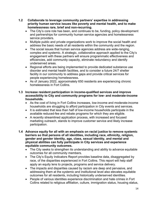- **1.2 Collaborate to leverage community partners' expertise in addressing priority human service issues like poverty and mental health, and to make homelessness rare, brief and non-recurring.** 
	- The City's core role has been, and continues to be, funding, policy development and partnerships for community human service agencies and homelessness service providers.
	- Multiple public and private organizations work to improve the social health and address the basic needs of all residents within the community and the region.
	- The social issues that human service agencies address are wide-ranging, complex and systemic. A strategic, collaborative approach applied to the City's engagement with these partners will ensure programmatic effectiveness and efficiencies, add community capacity, eliminate redundancy and identify underserved areas.
	- Regional efforts are being implemented to provide dedicated substance use disorder and mental health facilities, and to consider a future 24/7 shelter facility in our community to address gaps and provide critical services for people experiencing homelessness.
	- As of January 2022, approximately 650 residents are experiencing chronic homelessness in Fort Collins.

#### **1.3 Increase resident participation in income-qualified services and improve accessibility to City and community programs for low- and moderate-income households.**

- As the cost of living in Fort Collins increases, low-income and moderate-income households are struggling to afford participation in City events and services.
- It is estimated that less than half of low-income households participate in the available reduced-fee and rebate programs for which they are eligible.
- A recently streamlined application process, with increased and focused marketing outreach, stands to improve customer service and likely increase participation.
- **1.4 Advance equity for all with an emphasis on racial justice to remove systemic barriers so that persons of all identities, including race, ethnicity, religion, gender and gender identity, age, class, sexual identity, and mental and physical abilities can fully participate in City services and experience equitable community outcomes.** 
	- The City seeks to strengthen its understanding and ability to advance equitable outcomes for all community members.
	- The City's Equity Indicators Report provides baseline data, disaggregated by race, of the disparities experienced in Fort Collins. This report will help staff apply an equity lens to projects, programs and service delivery.
	- The impacts and disparities caused by racism are deep and pervasive, and addressing them at the systemic and institutional level also elevates equitable outcomes for all residents, including historically underserved identities.
	- People of various identities experience discrimination and hate crimes in Fort Collins related to religious affiliation, culture, immigration status, housing status,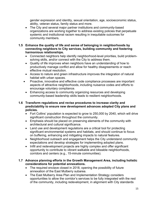gender expression and identity, sexual orientation, age, socioeconomic status, ability, veteran status, family status and more.

- The City and several major partner institutions and community-based organizations are working together to address existing policies that perpetuate systemic and institutional racism resulting in inequitable outcomes for community members.
- **1.5 Enhance the quality of life and sense of belonging in neighborhoods by connecting neighbors to City services, building community and fostering harmonious relationships.** 
	- Connected neighbors help identify neighborhood-level priorities, build problemsolving skills, and/or connect with the City to address them.
	- Quality of life improves when neighbors have an understanding of how to productively manage conflict and allow for healthy disagreements or reach effective mutual resolution.
	- Access to nature and green infrastructure improves the integration of natural habitat with urban spaces.
	- Proactive, innovative and effective code compliance processes are important aspects of attractive neighborhoods, including nuisance codes and efforts to encourage voluntary compliance.
	- Enhancing access to community organizing resources and developing community-based leadership skills leads to resilient neighborhoods.
- **1.6 Transform regulations and revise procedures to increase clarity and predictability to ensure new development advances adopted City plans and policies.** 
	- Fort Collins' population is expected to grow to 250,000 by 2040, which will drive significant construction throughout the community.
	- Emphasis should be placed on preserving elements of the community with architectural and cultural significance.
	- Land use and development regulations are a critical tool for protecting significant environmental systems and habitats, and should continue to focus on buffering, enhancing and mitigating impacts to natural features.
	- Neighborhood outreach and engagement helps the City understand community expectations and develop strategies for implementing adopted plans.
	- Infill and redevelopment projects are highly complex and offer significant opportunity to contribute to vibrant walkable and bikeable neighborhoods, corridors and centers (e.g., 15-minute communities).

#### **1.7 Advance planning efforts in the Growth Management Area, including holistic considerations for potential annexations.**

- The required enclave closed in 2018, opening the possibility of future annexation of the East Mulberry subarea.
- The East Mulberry Area Plan and Implementation Strategy considers opportunities to allow the corridor's services to be fully integrated with the rest of the community, including redevelopment, in alignment with City standards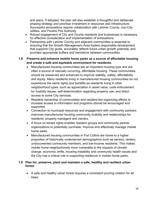and plans. If adopted, the plan will also establish a thoughtful and deliberate phasing strategy and prioritize investment in resources and infrastructure. Successful annexations require collaboration with Larimer County, non-City utilities, and Poudre Fire Authority.

- Robust engagement of City and County residents and businesses is necessary for effective consideration and implementation of annexations.
- Partnership with Larimer County and adjacent communities is essential to ensuring that the Growth Management Area fosters responsible development that supports City goals, accurately reflects future urban growth potential, and provides appropriate buffers and transitions between communities.

#### **1.8 Preserve and enhance mobile home parks as a source of affordable housing and create a safe and equitable environment for residents.**

- Manufactured housing communities are an important housing type and are often a source of naturally occurring, affordable housing. These communities should be preserved and enhanced to improve stability, safety, affordability and equity. Many residents living in manufactured housing communities do not experience the same rights and benefits as residents living in other neighborhood types, such as appreciation in asset value, code enforcement for livability issues, self-determination regarding property use, and direct access to some City services.
- Resident ownership of communities and resident-led organizing efforts to increase access to information and programs should be encouraged and supported.
- Connection to municipal resources and engagement with community partners improves manufactured housing community livability and relationships for residents, property managers and owners.
- A focus on tenant rights enables resident groups and community partner organizations to potentially purchase, improve and effectively manage mobile home parks.
- Manufactured housing communities in Fort Collins are home to a higher proportion of historically underserved demographics such as seniors, renters, undocumented community members, and low-income residents. This makes mobile home neighborhoods more vulnerable to the impacts of climate change, economic shifts, housing instability and community health issues and the City has a critical role in supporting resilience in mobile home parks.

#### **1.9 Plan for, preserve, plant and maintain a safe, healthy and resilient urban forest.**

 A safe and healthy urban forest requires a consistent pruning rotation for all trees.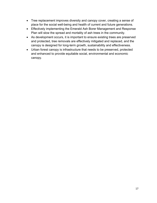- Tree replacement improves diversity and canopy cover, creating a sense of place for the social well-being and health of current and future generations.
- Effectively implementing the Emerald Ash Borer Management and Response Plan will slow the spread and mortality of ash trees in the community.
- As development occurs, it is important to ensure existing trees are preserved and protected, tree removals are effectively mitigated and replaced, and the canopy is designed for long-term growth, sustainability and effectiveness.
- Urban forest canopy is infrastructure that needs to be preserved, protected and enhanced to provide equitable social, environmental and economic canopy.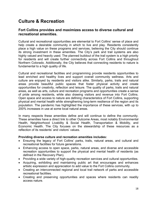## **Culture & Recreation**

#### **Fort Collins provides and maximizes access to diverse cultural and recreational amenities.**

Cultural and recreational opportunities are elemental to Fort Collins' sense of place and help create a desirable community in which to live and play. Residents consistently place a high value on these programs and services, believing the City should continue its strong investment in these amenities. The City's park and trail systems are also highly valued and heavily used. The planned buildout of the trail system is a high priority for residents and will create further connectivity across Fort Collins and throughout Northern Colorado. Additionally, the City believes that connecting residents to nature is fundamental to a high quality of life.

Cultural and recreational facilities and programming provide residents opportunities to lead enriched and healthy lives and support overall community wellness. Arts and culture are enjoyed by residents and visitors alike. Similarly, parks, trails and natural areas provide beautiful public spaces that foster physical activity and create opportunities for creativity, reflection and leisure. The quality of parks, trails and natural areas, as well as arts, culture and recreation programs and opportunities create a sense of pride among residents, while also drawing visitors and revenue into Fort Collins. Open space and access to nature are defining characteristics of Fort Collins, supporting physical and mental health while strengthening long-term resilience of the region and its population. The pandemic has highlighted the importance of these services, with up to 200% increases in use at some local natural areas.

In many respects these amenities define and will continue to define the community. These amenities have a direct link to other Outcome Areas, most notably Environmental Health, Neighborhood Livability & Social Health, Transportation & Mobility, and Economic Health. The City focuses on the stewardship of these resources as a reflection of its residents' and visitors' values.

#### **Providing diverse culture and recreation amenities includes:**

- Ensuring the legacy of Fort Collins' parks, trails, natural areas, and cultural and recreational facilities for future generations.
- Enhancing access to open space, parks, natural areas, and diverse and accessible recreation opportunities to support the physical and mental health of residents (as defined in the Recovery Plan).
- Providing a wide variety of high-quality recreation services and cultural opportunities.
- Acquiring, exhibiting and maintaining public art that encourages and enhances artistic expression and appreciation to add value to the Fort Collins community.
- Creating an interconnected regional and local trail network of parks and accessible recreational facilities.
- Creating and preserving opportunities and spaces where residents can readily access nature.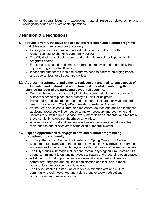Continuing a strong focus on exceptional natural resource stewardship and ecologically sound and sustainable operations.

## **Definition & Descriptions**

- **2.1 Provide diverse, inclusive and accessible recreation and cultural programs that drive attendance and cost recovery.** 
	- Existing diverse programs and opportunities can be bolstered with responsiveness to changing community desires.
	- The City desires equitable access and a high degree of participation in all programs offered.
	- Fee structures based on demand, program alternatives and affordability help improve program self-sufficiency.
	- Indoor and outdoor facilities and programs need to address emerging trends and opportunities for all ages and abilities.
- **2.2 Address infrastructure and amenity replacement and maintenance needs of trails, parks, and cultural and recreation facilities while continuing the planned buildout of the parks and paved trail systems.** 
	- Community outreach consistently indicates a strong desire to preserve and cultivate a sense of place and vibrancy as Fort Collins grows.
	- Parks, trails, and cultural and recreation opportunities are highly valued and used by residents. In 2021, 94% of residents visited a City park.
	- As the City's parks and cultural and recreation facilities age and use increases, additional resources will be needed to make necessary improvements and updates to sustain current service levels, meet design standards, and maintain these as highly valued neighborhood amenities.
	- Alternatives and non-traditional approaches are necessary to help fund trail maintenance and/or accelerate completion of the trail system.

#### **2.3 Expand opportunities to engage in arts and cultural programming throughout the community.**

- Through the Lincoln Center, the Gardens on Spring Creek, Fort Collins Museum of Discovery and other cultural services, the City provides programs and services to the community beyond traditional parks and recreation centers.
- The City's cultural heritage includes the community's agricultural roots and its strong commitment to enhancing access to nature and preserving open spaces.
- Artistic and cultural opportunities are essential to a vibrant and creative community; engaged and equitable participation and inclusion in those opportunities are core community values.
- The FoCo Creates Master Plan calls for a destination arts and culture community, a well-networked and visible creative sector, educational opportunities and business support.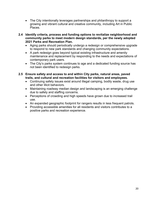- The City intentionally leverages partnerships and philanthropy to support a growing and vibrant cultural and creative community, including Art in Public Places.
- **2.4 Identify criteria, process and funding options to revitalize neighborhood and community parks to meet modern design standards, per the newly adopted 2021 Parks and Recreation Plan.** 
	- Aging parks should periodically undergo a redesign or comprehensive upgrade to respond to new park standards and changing community expectations.
	- A park redesign goes beyond typical existing infrastructure and amenity maintenance and replacement by responding to the needs and expectations of contemporary park users.
	- The City's parks system continues to age and a dedicated funding source has not been identified to redesign parks.
- **2.5 Ensure safety and access to and within City parks, natural areas, paved trails, and cultural and recreation facilities for visitors and employees.** 
	- Continuing safety issues exist around illegal camping, bodily waste, drug use and other illicit behaviors.
	- Maintaining roadway median design and landscaping is an emerging challenge due to safety and staffing concerns.
	- Perceptions of crowding and high speeds have grown due to increased trail use.
	- An expanded geographic footprint for rangers results in less frequent patrols.
	- Providing accessible amenities for all residents and visitors contributes to a positive parks and recreation experience.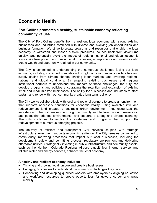## **Economic Health**

#### **Fort Collins promotes a healthy, sustainable economy reflecting community values.**

The City of Fort Collins benefits from a resilient local economy with strong existing businesses and industries combined with diverse and evolving job opportunities and business formation. We strive to create programs and resources that enable the local economy to withstand and lessen outside pressures, bounce back from downturns quickly, and potentially avoid the impact of regional, national and global economic forces. We take pride in our thriving local businesses, entrepreneurs and inventors who create wealth and opportunity retained in our community.

The City is committed to understanding the numerous challenges facing our local economy, including continued competition from globalization, impacts on facilities and supply chains from climate change, shifting labor markets, and evolving regional, national and global conditions. By engaging existing businesses and regional institutional partners to understand the impacts of these challenges, the City can develop programs and policies encouraging the retention and expansion of existing small and medium-sized businesses. The ability for businesses and industries to start, sustain and renew within our community creates long-term resiliency.

The City works collaboratively with local and regional partners to create an environment that supports necessary conditions for economic vitality. Using available infill and redevelopment land creates a desirable urban environment that recognizes the importance of the built environment (e.g., community architecture, historic preservation and pedestrian-oriented environments) and supports a strong and diverse economy. The City continues to evolve the strategies and programs that support the redevelopment of numerous emerging projects.

The delivery of efficient and transparent City services coupled with strategic infrastructure investment supports economic resilience. The City remains committed to continuously improving processes that impact our local businesses, including the development review and permitting process, regulatory environment and delivering affordable utilities. Strategically investing in public infrastructure and community assets, such as the Northern Colorado Regional Airport, gigabit fiber internet service, and reliable water and energy services, enhance the local economy.

#### **A healthy and resilient economy includes:**

- Thriving and growing local, unique and creative businesses.
- Engaging businesses to understand the numerous challenges they face.
- Connecting and developing qualified workers with employers by aligning education and workforce resources to create opportunities for upward career and wage mobility.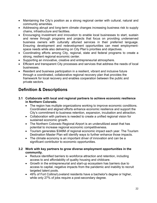- Maintaining the City's position as a strong regional center with cultural, natural and community amenities.
- Addressing abrupt and long-term climate changes increasing business risk to supply chains, infrastructure and facilities.
- Encouraging investment and innovation to enable local businesses to start, sustain and renew through programs and projects that focus on providing underserved business owners with culturally attuned services in their preferred language. Ensuring development and redevelopment opportunities can meet employmentspace needs while also delivering on City Plan's priorities and objectives.
- Coordinating efforts among City, regional, state and federal programs to create a strong, resilient regional economic center.
- Supporting an innovative, creative and entrepreneurial atmosphere.
- Efficient and transparent City processes and services that address the needs of local businesses.
- Resident and business participation in a resilient, vibrant and inclusive future through a coordinated, collaborative regional recovery plan that provides the framework for local recovery and enables cooperation between the public and private sectors.

## **Definition & Descriptions**

- **3.1 Collaborate with local and regional partners to achieve economic resilience in Northern Colorado.** 
	- The region has multiple organizations working to improve economic conditions. Coordinated and aligned efforts enhance economic resilience and support the City's commitment to business retention, expansion, incubation and attraction.
	- Collaboration with partners is needed to create a unified regional vision for sustained economic growth.
	- The Northern Colorado Regional Airport is an underutilized asset that has potential to increase regional economic competitiveness.
	- Tourism generates \$346M of regional economic impact each year. The Tourism Destination Master Plan will identify ways to further enhance those impacts.
	- The climate economy is an important driver of innovation and can be a significant contributor to economic opportunities.
- **3.2 Work with key partners to grow diverse employment opportunities in the community.** 
	- Reduce identified barriers to workforce attraction and retention, including access to and affordability of quality housing and childcare.
	- Growth in the entrepreneurial and start-up ecosystem has barriers due to access to capital, negative impacts from the pandemic and inability to recruit targeted talent pools.
	- 49% of Fort Collins/Loveland residents have a bachelor's degree or higher, while only 27% of jobs require a post-secondary degree.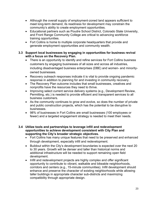- Although the overall supply of employment-zoned land appears sufficient to meet long-term demand, its readiness for development may constrain the community's ability to create employment opportunities.
- Educational partners such as Poudre School District, Colorado State University, and Front Range Community College are critical to advancing workforce training opportunities.
- Fort Collins is home to multiple corporate headquarters that provide and generate employment opportunities and community wealth.

#### **3.3 Support local businesses by engaging in opportunities for business revival with a focus on the Recovery Plan.**

- There is an opportunity to identify and refine services for Fort Collins business customers by engaging businesses of all sizes and across all industries, including disadvantaged business enterprises (DBE) and women- and minorityowned businesses.
- Recovery outreach responses indicate it is vital to provide ongoing pandemic response in addition to planning for and investing in community recovery.
- The Recovery Plan outcome includes that small businesses, creatives and nonprofits have the resources they need to thrive.
- Improving select current service delivery systems (e.g., Development Review, Permitting, etc.) is needed to provide efficient and transparent services to all business customers.
- As the community continues to grow and evolve, so does the number of private and public construction projects, which has the potential to be disruptive to businesses.
- 98% of businesses in Fort Collins are small businesses (100 employees or fewer) and a targeted engagement strategy is needed to meet their needs.

#### **3.4 Utilize tools and partnerships to leverage infill and redevelopment opportunities to achieve development consistent with City Plan and supporting the City's broader strategic objectives.**

- Fort Collins has many unique features that need to be preserved and enhanced through development, especially infill and redevelopment.
- Buildout within the City's development boundaries is expected over the next 20 to 30 years. Growth will be denser and taller than historical norms and additional infrastructure will be needed to support remaining open field development.
- Infill and redevelopment projects are highly complex and offer significant opportunity to contribute to vibrant, walkable and bikeable neighborhoods, corridors and centers (e.g., 15-minute communities). Infill development should enhance and preserve the character of existing neighborhoods while allowing taller buildings in appropriate character sub-districts and maximizing compatibility through appropriate design.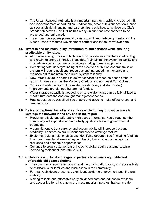- The Urban Renewal Authority is an important partner in achieving desired infill and redevelopment opportunities. Additionally, other public finance tools, such as special district financing and partnerships, could help to achieve the City's broader objectives. Fort Collins has many unique features that need to be preserved and enhanced.
- Train horn noise poses potential barriers to infill and redevelopment along the Mason Transit Oriented Development corridor and in the Downtown core.

#### **3.5 Invest in and maintain utility infrastructure and services while ensuring predictable utility rates.**

- Affordable energy costs and high reliability provide an advantage in attracting and retaining energy-intensive industries. Maintaining the system reliability and cost advantage is important to retaining existing primary employers.
- Completing total undergrounding of the electric distribution and transmission system will require additional resources and increased maintenance and replacement to maintain the current system reliability.
- New infrastructure is needed to deliver services to meet the needs of future growth in areas such as the Mulberry Corridor and northeast Fort Collins.
- Significant water infrastructure (water, wastewater, and stormwater) improvements are planned but are not funded.
- Water storage capacity is needed to ensure water rights can be fully utilized to meet future demand and drought management needs.
- Rate structures across all utilities enable end-users to make effective cost and use decisions.

#### **3.6 Deliver exceptional broadband services while finding innovative ways to leverage the network in the city and in the region.**

- Providing reliable and affordable high-speed internet service throughout the community will support economic vitality, quality of life and governmental operations.
- A commitment to transparency and accountability will increase trust and credibility in service as our buildout and service offerings mature.
- Exploring regional relationships and identifying opportunities (including funding) to expand broadband service beyond the city limits will enhance regional resilience and economic opportunities.
- Continue to grow customer base, including digital equity customers, while increasing residential take rate to 35%.

#### **3.7 Collaborate with local and regional partners to advance equitable and affordable childcare solutions.**

- The community recognizes how critical the quality, affordability and accessibility of childcare is for families and businesses in the community.
- For many, childcare presents a significant barrier to employment and financial stability.
- Making reliable and affordable early childhood care and education available and accessible for all is among the most important policies that can create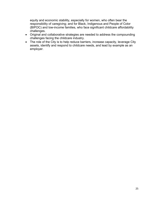equity and economic stability, especially for women, who often bear the responsibility of caregiving; and for Black, Indigenous and People of Color (BIPOC) and low-income families, who face significant childcare affordability challenges.

- Original and collaborative strategies are needed to address the compounding challenges facing the childcare industry.
- The role of the City is to help reduce barriers, increase capacity, leverage City assets, identify and respond to childcare needs, and lead by example as an employer.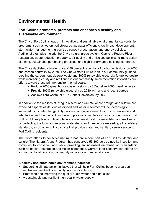## **Environmental Health**

#### **Fort Collins promotes, protects and enhances a healthy and sustainable environment.**

The City of Fort Collins leads in innovative and sustainable environmental stewardship programs, such as watershed stewardship, water efficiency, low-impact development, stormwater management, urban tree canopy preservation, and energy policies. Additional examples include the City's natural areas system, Cache la Poudre River restoration, waste reduction programs, air quality and emissions policies, climate action planning, sustainable purchasing practices, and high-performance building standards.

The City established climate goals of 80 percent reduction of carbon emissions by 2030 and carbon neutrality by 2050. The Our Climate Future Plan is our community guide to creating the carbon neutral, zero waste and 100% renewable electricity future we desire while increasing equity and resilience in our community. Implementation intensifies our efforts toward these primary environmental goals:

- Reduce 2030 greenhouse gas emissions by 80% below 2005 baseline levels
- Provide 100% renewable electricity by 2030 with grid and local sources
- Achieve zero waste, or 100% landfill diversion, by 2030

In addition to the realities of living in a semi-arid climate where drought and wildfire are expected aspects of life, our watershed and water resources will be increasingly impacted by climate change. City policies recognize a need to focus on resilience and adaptation, and that our actions have implications well beyond our city boundaries. Fort Collins Utilities plays a critical role in environmental health, stewardship and resilience by protecting the local and regional watersheds and meeting or exceeding all regulatory standards, as do other utility districts that provide water and sanitary sewer service to Fort Collins residents.

The City's efforts to conserve natural areas are a core part of Fort Collins' identity and culture. The Natural Areas Program has conserved 55,300 acres since its inception and continues to conserve land while providing an increased emphasis on stewardship, such as habitat restoration and visitor experience. Current land conservation efforts are focused on local, foothills, community separator and regional areas.

#### **A healthy and sustainable environment includes:**

- Supporting climate action initiatives that will help Fort Collins become a carbonneutral and resilient community in an equitable way.
- Protecting and improving the quality of air, water and night skies.
- A sustainable and resilient high-quality water supply.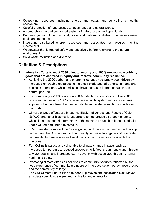- Conserving resources, including energy and water, and cultivating a healthy ecosystem.
- Careful protection of, and access to, open lands and natural areas.
- A comprehensive and connected system of natural areas and open lands.
- Partnerships with local, regional, state and national affiliates to achieve desired goals and outcomes.
- Integrating distributed energy resources and associated technologies into the electric grid.
- Wastewater that is treated safely and effectively before returning to the natural environment.
- Solid waste reduction and diversion.

## **Definition & Descriptions**

- **4.1 Intensify efforts to meet 2030 climate, energy and 100% renewable electricity goals that are centered in equity and improve community resilience.** 
	- Achieving the 2020 carbon and energy milestones has largely been driven by increased renewable resources in the electric grid and efficiencies in home and business operations, while emissions have increased in transportation and natural gas use.
	- The community's 2030 goals of an 80% reduction in emissions below 2005 levels and achieving a 100% renewable electricity system require a systems approach that prioritizes the most equitable and scalable solutions to achieve the goals.
	- Climate change effects are impacting Black, Indigenous and People of Color (BIPOC) and other historically underrepresented groups disproportionately, while climate leadership from many of these same groups has been historically under-valued and under-invested in.
	- 80% of residents support the City engaging in climate action, and in partnership with others, the City can support community-led ways to engage and co-create with residents, businesses and institutions opportunities for sustainable living practices.
	- Fort Collins is particularly vulnerable to climate change impacts such as increased temperatures, reduced snowpack, wildfires, urban heat island, threats to water quality, and increased storm severity with associated threats to human health and safety.
	- Promoting climate efforts as solutions to community priorities reflected by the lived experience of community members will increase action led by these groups and the community at large.
	- The Our Climate Future Plan's thirteen Big Moves and associated Next Moves articulate specific strategies and tactics for implementation.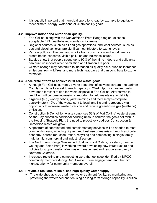• It is equally important that municipal operations lead by example to equitably meet climate, energy, water and all sustainability goals.

#### **4.2 Improve indoor and outdoor air quality.**

- Fort Collins, along with the Denver/North Front Range region, exceeds acceptable EPA health-based standards for ozone.
- Regional sources, such as oil and gas operations, and local sources, such as gas and diesel vehicles, are significant contributors to ozone levels.
- Particle pollution, like dust and smoke from construction and wood fires, can create health concerns, visible pollution and nuisance issues.
- Studies show that people spend up to 90% of their time indoors and pollutants can build up indoors when ventilation and filtration are poor.
- Climate change may contribute to increased air quality risks, such as increased emissions from wildfires, and more high heat days that can contribute to ozone formation.

#### **4.3 Accelerate efforts to achieve 2030 zero waste goals.**

- Although Fort Collins currently diverts about half of its waste stream, the Larimer County Landfill is forecast to reach capacity in 2024. Upon its closure, costs have been forecast to rise for waste disposal in Fort Collins. Alternatives to landfilling will become increasingly important to help maintain affordability.
- Organics (e.g., woody debris, yard trimmings and food scraps) comprise approximately 40% of the waste sent to local landfills and represent a vital opportunity to increase waste diversion and reduce greenhouse gas (methane) emissions.
- Construction & Demolition waste comprises 53% of Fort Collins' waste stream. As the City prioritizes additional housing units to achieve the goals set forth in the Housing Strategic Plan, the need to proactively address Construction & Demolition waste will grow.
- A spectrum of coordinated and complementary services will be needed to meet community goals, including highest and best use of materials through a circular economy, source reduction, reuse, recycling and composting in single family, multi-family, commercial and industrial sectors.
- The North Front Range Wasteshed Coalition (Fort Collins, Loveland, Larimer County and Estes Park) is working toward developing new infrastructure and policies to support sustainable waste management and resource recovery in Northern Colorado.
- Increased recycling and composting were the top issue identified by BIPOC community members during Our Climate Future engagement, and the third highest priority for community members overall.

#### **4.4 Provide a resilient, reliable, and high-quality water supply.**

• The watershed acts as a primary water treatment facility, so monitoring and protecting the watershed and focusing on long-term storage capability is critical.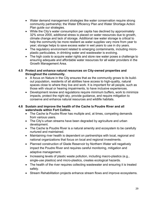- Water demand management strategies like water conservation require strong community partnership; the Water Efficiency Plan and Water Shortage Action Plan guide our strategies.
- While the City's water consumption per capita has declined by approximately 32% since 2000, additional stress is placed on water resources due to growth, climate change and lack of storage. Additional raw water storage is critical to help the community be more resilient as water supplies vary more from year to year; storage helps to save excess water in wet years to use in dry years.
- The regulatory environment related to emerging contaminants, including microplastic particulates, in drinking water and wastewater is evolving.
- The high costs to acquire water rights and store raw water poses a challenge to ensuring adequate and affordable water resources for all water providers in the Growth Management Area.

#### **4.5 Protect and enhance natural resources on City-owned properties and throughout the community.**

- A focus on Nature in the City ensures that as the community grows to its buildout population, residents of all abilities have access to high-quality, natural spaces close to where they live and work. It is important for all people, such as those with visual or hearing impairments, to have inclusive experiences.
- Development review and regulations require minimum buffers, work to minimize impacts, protect the night sky, provide guidance, and require mitigation to conserve and enhance natural resources and wildlife habitats.

#### **4.6 Sustain and improve the health of the Cache la Poudre River and all watersheds within Fort Collins.**

- The Cache la Poudre River has multiple and, at times, competing demands from various users.
- The City's urban streams have been degraded by agriculture and urban development.
- The Cache la Poudre River is a natural amenity and ecosystem to be carefully nurtured and maintained.
- Maintaining river health is dependent on partnerships with local, regional and national organizations that focus on local and regional investments.
- Planned construction of Glade Reservoir by Northern Water will negatively impact the Poudre River and requires careful monitoring, mitigation and adaptive management.
- Increasing levels of plastic waste pollution, including macro-plastics (e.g., single-use plastics) and micro-plastics, creates ecological hazards.
- The health of the river requires collecting wastewater and ensuring it is treated safely.
- Stream Rehabilitation projects enhance stream flows and improve ecosystems.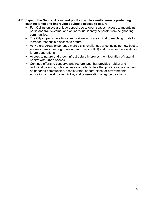- **4.7 Expand the Natural Areas land portfolio while simultaneously protecting existing lands and improving equitable access to nature.** 
	- Fort Collins enjoys a unique appeal due to open spaces, access to mountains, parks and trail systems, and an individual identity separate from neighboring communities.
	- The City's open space lands and trail network are critical to reaching goals to increase responsible access to nature.
	- As Natural Areas experience more visits, challenges arise including how best to address heavy use (e.g., parking and user conflict) and preserve the assets for future generations.
	- Access to nature and green infrastructure improves the integration of natural habitat with urban spaces.
	- Continue efforts to conserve and restore land that provides habitat and biological diversity, public access via trails, buffers that provide separation from neighboring communities, scenic vistas, opportunities for environmental education and watchable wildlife, and conservation of agricultural lands.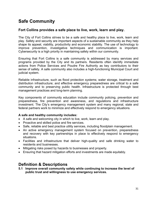## **Safe Community**

#### **Fort Collins provides a safe place to live, work, learn and play.**

The City of Fort Collins strives to be a safe and healthy place to live, work, learn and play. Safety and security are important aspects of a sustainable community as they help shape its appeal, viability, productivity and economic stability. The use of technology to improve prevention, investigative techniques and communication is important. Cybersecurity is a high priority in maintaining safety within our community.

Ensuring that Fort Collins is a safe community is addressed by many services and programs provided by the City and its partners. Residents often identify immediate actions from Police Services and Poudre Fire Authority as key contributors to their sense of safety. A safe community also includes a high-functioning Municipal Court and judicial system.

Reliable infrastructure, such as flood protection systems; water storage, treatment and distribution infrastructure; and effective emergency preparedness are critical to a safe community and to preserving public health. Infrastructure is protected through best management practices and long-term planning.

Key components of community education include community policing, prevention and preparedness, fire prevention and awareness, and regulations and infrastructure investment. The City's emergency management system and many regional, state and federal partners work to minimize and effectively respond to emergency situations.

#### **A safe and healthy community includes:**

- A safe and welcoming city in which to live, work, learn and play.
- Proactive and skilled police and fire services.
- Safe, reliable and best practice utility services, including floodplain management.
- An active emergency management system focused on prevention, preparedness and recovery with key partnerships in place to effectively respond to emergency situations.
- Facilities and infrastructure that deliver high-quality and safe drinking water to residents and businesses.
- Mitigating risks posed by hazards to businesses and property.
- Ensuring that hazard mitigation efforts and investments are made equitably.

### **Definition & Descriptions**

**5.1 Improve overall community safety while continuing to increase the level of public trust and willingness to use emergency services.**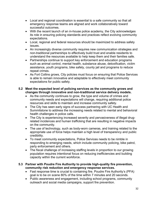- Local and regional coordination is essential to a safe community so that all emergency response teams are aligned and work collaboratively toward successful outcomes.
- With the recent launch of an in-house police academy, the City acknowledges its role in ensuring policing standards and practices reflect evolving community expectations.
- Local, regional and federal resources should be maximized to address safety issues.
- An increasingly diverse community requires new communication strategies and non-traditional partnerships to effectively build trust and enable residents to understand the resources available to help keep them and their families safe.
- Partnerships continue to support key enforcement and education programs such as animal control, mental health, substance abuse, detoxification, victim assistance, youth programs, bike safety, county jail and programs to reduce repeat crimes.
- As Fort Collins grows, City policies must focus on ensuring that Police Services is able to remain innovative and adaptable to effectively meet community expectations for public safety.

#### **5.2 Meet the expected level of policing services as the community grows and changes through innovative and non-traditional service delivery models.**

- As the community continues to grow, the type and volume of crimes and community needs and expectations will change, requiring additional police resources and skills to maintain and increase community safety.
- The City has seen early signs of success partnering with UC Health and Summitstone to address the increasing needs related to mental and behavioral health challenges in police calls.
- The City is experiencing increased severity and pervasiveness of illegal drugrelated incidences and human trafficking that are resulting in negative impacts on the community.
- The use of technology, such as body-worn cameras, and training related to the appropriate use of force helps maintain a high level of transparency and public credibility.
- To meet community expectations, Police Services needs to be nimble in responding to emerging needs, which include community policing, bike patrol, party enforcement and others.
- The fiscal challenge of increasing staffing levels in proportion to our growing population requires intentional focus on reducing inefficiencies and building capacity within the current workforce.

#### **5.3 Partner with Poudre Fire Authority to provide high-quality fire prevention, community risk reduction and emergency response services.**

- Fast response time is crucial to containing fire. Poudre Fire Authority's (PFA) goal is to be on scene 80% of the time within 7 minutes and 20 seconds.
- Public awareness and engagement, including school programs, community outreach and social media campaigns, support fire prevention.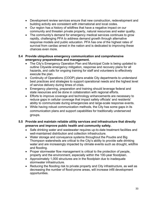- Development review services ensure that new construction, redevelopment and building activity are consistent with international and local codes.
- Our region has a history of wildfires that have a negative impact on our community and threaten private property, natural resources and water quality.
- The community's demand for emergency medical services continues to grow rapidly, challenging PFA to address demand growth through alternative response models and public education. PFA has one of the highest rates of survival from cardiac arrest in the nation and is dedicated to improving these chances even more.

#### **5.4 Provide ubiquitous emergency communication and comprehensive emergency preparedness and management.**

- The City's Emergency Operation Plan and Municipal Code is being updated to outline Citywide emergency mitigation, response and recovery plans for all hazards, and calls for ongoing training for staff and volunteers to effectively execute the plan.
- Continuity of Operations (COOP) plans enable City departments to understand best practices and strategies to support operational needs and the highest level of service delivery during times of crisis.
- Emergency planning, preparation and training should leverage federal and state resources and be done in collaboration with regional efforts.
- Efforts to improve coverage and technology enhancements are necessary to reduce gaps in cellular coverage that impact safety officials' and residents' ability to communicate during emergencies and large-scale response events.
- While having robust communication methods, the City has some gaps in its communication plans and support capabilities for traditionally underserved groups.

#### **5.5 Provide and maintain reliable utility services and infrastructure that directly preserve and improve public health and community safety.**

- Safe drinking water and wastewater requires up-to-date treatment facilities and well-maintained distribution and collection infrastructure.
- Water storage and conveyance systems throughout the Poudre and Big Thompson watersheds are critical to the City's ability to provide safe drinking water and are increasingly impacted by climate events such as drought, wildfire and flooding.
- Proper stormwater flow management is critical to the protection of people, property and the environment, especially within the 100-year floodplain.
- Approximately 1,000 structures are in the floodplain due to inadequate stormwater infrastructure.
- Reducing the flooding risk to private property and City infrastructure, as well as decreasing the number of flood-prone areas, will increase infill development opportunities.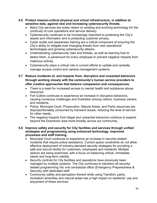- **5.6 Protect mission-critical physical and virtual infrastructure, in addition to sensitive data, against new and increasing cybersecurity threats.** 
	- Many City services are solely reliant on existing and evolving technology for the continuity of core operations and service delivery.
	- Cybersecurity continues to be increasingly important to protecting the City's assets and information and to protecting customer privacy.
	- Cyber audits and awareness training are a critical component of ensuring the City's ability to mitigate ever-changing threats from new operational technologies and growing cybersecurity attacks.
	- Understanding cybersecurity risks and threats, as well as learning how to detect them, is paramount for every employee to prevent negative impacts from malicious activity.
	- Cybersecurity plays a critical role in current efforts to update and centrally manage access control and camera management systems.
- **5.7 Reduce incidents of, and impacts from, disruptive and unwanted behaviors through working closely with the community's human service providers to offer creative approaches that balance compassion and consequences.** 
	- There is a need for increased access to mental health and substance abuse resources.
	- Fort Collins continues to experience an increase in disruptive behaviors, causing numerous challenges and frustration among visitors, business owners and residents.
	- Police, Municipal Court, Prosecution, Natural Areas, and Parks resources are disproportionately consumed by transient issues, reducing the level of service for other needs.
	- The negative impacts from illegal and unwanted behaviors continue to expand beyond the Downtown area more broadly across our community.

#### **5.8 Improve safety and security for City facilities and services through unified strategies and programming using enhanced technology, improved processes and staff training.**

- Municipal Court continues to experience an increase in security-related incidents that require police assistance. Current space constraints do not allow effective deployment of industry-standard security strategies for providing a safe and secure facility for customers, employees and residents. Multiple options are being examined, with a focus on balancing critical, immediate needs and long-term viability.
- Security controls for City facilities and operations have previously been managed by multiple systems. The City continues to transition all securityrelated programming into one centralized office (Emergency Preparedness & Security) with dedicated staff.
- Community safety and perception thereof while using Transfort, parks, recreation amenities and natural areas has a high impact on residents' use and enjoyment of these services.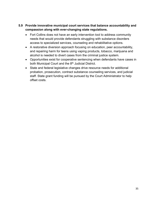#### **5.9 Provide innovative municipal court services that balance accountability and compassion along with ever-changing state regulations.**

- Fort Collins does not have an early intervention tool to address community needs that would provide defendants struggling with substance disorders access to specialized services, counseling and rehabilitative options.
- A restorative diversion approach focusing on education, peer accountability, and repairing harm for teens using vaping products, tobacco, marijuana and alcohol is needed to divert cases from the criminal justice system.
- Opportunities exist for cooperative sentencing when defendants have cases in both Municipal Court and the 8<sup>th</sup> Judicial District.
- State and federal legislative changes drive resource needs for additional probation, prosecution, contract substance counseling services, and judicial staff. State grant funding will be pursued by the Court Administrator to help offset costs.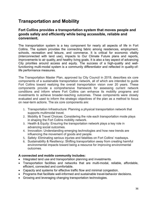## **Transportation and Mobility**

#### **Fort Collins provides a transportation system that moves people and goods safely and efficiently while being accessible, reliable and convenient.**

The transportation system is a key component for nearly all aspects of life in Fort Collins. The system provides the connecting fabric among residences, employment, schools, recreation and leisure, and commerce. It is critical for economic vitality (interconnected with land use), impacts to Our Climate Future plans and reports, improvements to air quality, and healthy living goals. It is also a key aspect of advancing City priorities around access and equity. The success of a high-quality and wellfunctioning multi-modal system is a community differentiator and reflected in quality-oflife performance measures.

The Transportation Master Plan, approved by City Council in 2019, describes six core components of a sustainable transportation network, all of which are intended to guide Fort Collins toward realizing the overall transportation vision over 20 years. These components provide a comprehensive framework for assessing current network conditions and inform where Fort Collins can enhance its mobility programs and investments to achieve broader-reaching outcomes. These components were closely evaluated and used to inform the strategic objectives of the plan as a method to focus on near-term actions. The six core components are:

- 1. Transportation Infrastructure: Planning a physical transportation network that supports multimodal travel.
- 2. Mobility & Travel Choices: Considering the role each transportation mode plays in shaping the Fort Collins mobility network.
- 3. Health & Equity: Ensuring the transportation network plays a key role in advancing social outcomes.
- 4. Innovation: Understanding emerging technologies and how new trends are influencing the movement of goods and people.
- 5. Safety: Eliminating serious injuries and fatalities on Fort Collins' roadways.
- 6. Sustainability & Resiliency: Shifting transportation away from creating harmful environmental impacts toward being a resource for improving environmental outcomes.

#### **A connected and mobile community includes:**

- Integrated land use and transportation planning and investments.
- Transportation facilities and networks that are multi-modal, reliable, affordable, efficient, connected and comfortable.
- Capacity and systems for effective traffic flow and minimal congestion.
- Programs that facilitate well-informed and sustainable travel-behavior decisions.
- Growing and leveraging changing transportation technologies.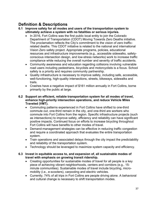## **Definition & Descriptions**

- **6.1 Improve safety for all modes and users of the transportation system to ultimately achieve a system with no fatalities or serious injuries.** 
	- In 2016, Fort Collins was the first public local entity to join the Colorado Department of Transportation (CDOT) Moving Towards Zero Deaths initiative. The proclamation reflects the City's commitment to the vision of zero trafficrelated deaths. This CDOT initiative is related to the national and international Vision Zero safety project. Appropriate programs, policies, educational resources and infrastructure improvements (e.g., accessible sidewalks, safetyconscious intersection design, and low-stress networks) work to increase traffic compliance while reducing the overall number and severity of traffic accidents.
	- Community awareness and education regarding collisions involving vulnerable road users including pedestrians, bicyclists and motorcyclists is a focus. School safety is a priority and requires community partnership.
	- Quality infrastructure is necessary to improve safety, including safe, accessible, well-functioning, high-quality intersections, streets, bikeways, sidewalks and trails.
	- Crashes have a negative impact of \$161 million annually in Fort Collins, borne primarily by the public at large.
- **6.2 Support an efficient, reliable transportation system for all modes of travel, enhance high-priority intersection operations, and reduce Vehicle Miles Traveled (VMT).** 
	- Commuting patterns experienced in Fort Collins have shifted to one-third commute out, one-third remain in the city, and one-third are workers who commute into Fort Collins from the region. Specific infrastructure projects (such as intersections) to improve safety, efficiency and reliability can have significant positive impacts. Continued focus on efforts to increase bicycling throughout Fort Collins will have benefits to other modes of travel.
	- Demand-management strategies can be effective in reducing traffic congestion and require a coordinated approach that evaluates the entire transportation system.
	- Train operations and associated delays through the city impact the predictability and reliability of the transportation system.
	- Technology should be leveraged to maximize system capacity and efficiency.

#### **6.3 Invest in equitable access to, and expansion of, all sustainable modes of travel with emphasis on growing transit ridership.**

- Creating opportunities for sustainable modes of travel for all people is a key piece of achieving vibrant neighborhoods, centers and corridors (e.g., 15 minute communities). Sustainable modes of travel include bicycling, micromobility (i.e., e-scooters), carpooling and electric vehicles.
- Currently, 74% of all trips in Fort Collins are people driving alone. A behavioral and cultural change is necessary to shift transportation modes.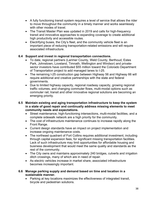- A fully functioning transit system requires a level of service that allows the rider to move throughout the community in a timely manner and works seamlessly with other modes of travel.
- The Transit Master Plan was updated in 2019 and calls for high-frequency transit and innovative approaches to expanding coverage to create additional high productivity and accessible routes.
- Electrifying buses, the City's fleet, and the community vehicle fleet is an important piece of reducing transportation-related emissions and will require associated infrastructure.

#### **6.4 Support and invest in regional transportation connections.**

- To date, regional partners (Larimer County, Weld County, Berthoud, Estes Park, Johnstown, Loveland, Timnath, Wellington and Windsor) and privatesector investors have contributed \$55 million toward the Colorado Department of Transportation project to add managed lanes to I-25.
- The remaining I-25 construction gap between Highway 56 and Highway 66 will require additional and creative partnerships with the state and federal governments.
- Due to limited highway capacity, regional roadway capacity, growing regional traffic volumes, and changing commuter flows, multi-modal options such as commuter rail, transit and other innovative regional solutions are becoming an emerging priority.

#### **6.5 Maintain existing and aging transportation infrastructure to keep the system in a state of good repair and continually address missing elements to meet community needs and expectations.**

- Street maintenance, high-functioning intersections, multi-modal facilities, and a complete sidewalk network are a high priority for the community.
- The cost of infrastructure maintenance continues to increase rapidly along the Front Range.
- Current design standards have an impact on project implementation and increase ongoing maintenance costs.
- The northeast quadrant of Fort Collins requires additional investment, including through capital expansion fees, for significant missing transportation facilities. Lack of such infrastructure may limit opportunities for affordable housing and business development that would meet the same quality and standards as the rest of the community.
- The City owns and maintains approximately 240 bridges, culverts and irrigation ditch crossings, many of which are in need of repair.
- As electric vehicles increase in market share, associated infrastructure becomes increasingly important.

#### **6.6 Manage parking supply and demand based on time and location in a sustainable manner.**

• Parking at key locations maximizes the effectiveness of integrated transit, bicycle and pedestrian solutions.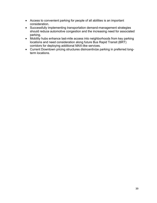- Access to convenient parking for people of all abilities is an important consideration.
- Successfully implementing transportation demand-management strategies should reduce automotive congestion and the increasing need for associated parking.
- Mobility hubs enhance last-mile access into neighborhoods from key parking locations and need consideration along future Bus Rapid Transit (BRT) corridors for deploying additional MAX-like services.
- Current Downtown pricing structures disincentivize parking in preferred longterm locations.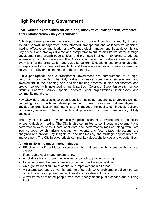## **High Performing Government**

#### **Fort Collins exemplifies an efficient, innovative, transparent, effective and collaborative city government.**

A high-performing government delivers services desired by the community through sound financial management; data-informed, transparent and collaborative decisionmaking; effective communication and efficient project management. To achieve this, the City attracts and employs diverse and competitive talent, retains its workforce through development and growth opportunities, and promotes intelligent risk-taking to address increasingly complex challenges. The City's vision, mission and values are reinforced at every level of the organization and guide its culture. Exceptional customer service that is responsive to the needs of residents and businesses is crucial in every interaction between the City and all members of the community.

Public participation and a transparent government are cornerstones of a highperforming community. The City values inclusive community engagement and involvement in the planning and decision-making process. It also collaborates and problem-solves with neighboring municipalities, Colorado State University, school districts, Larimer County, special districts, local organizations, businesses and community members.

Key Citywide processes have been identified, including leadership, strategic planning, budgeting, staff growth and development, and human resources that are aligned to develop an organization that listens to and engages the public, continuously delivers high quality services to the community and generates trust in and transparency of City business.

The City of Fort Collins systematically applies economic, environmental and social lenses to decision-making. The City is also committed to continuous improvement and performance excellence. Operational data and performance metrics, along with data from surveys, benchmarking, engagement events and face-to-face interactions, are analyzed and provide key insights for decision-making and strategic opportunities for improvement. The City budget reflects community values, challenges and opportunities.

#### **A high-performing government includes:**

- Effective and efficient local governance where all community voices are heard and valued.
- Fiscal sustainability and transparency.
- A collaborative and community-based approach to problem solving.
- Core processes that are consistently used across the organization.
- An organizational culture of continuous improvement in all areas.
- A systems approach, driven by data, to effectively solve problems, creatively pursue opportunities for improvement and develop innovative solutions.
- A workforce of talented people who care deeply about public service and building trust.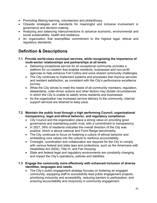- Promoting lifelong learning, volunteerism and philanthropy.
- Citywide strategies and standards for meaningful and inclusive involvement in governance and decision-making.
- Analyzing and balancing interconnections to advance economic, environmental and social sustainability, health and resilience.
- An organization that exemplifies commitment to the highest legal, ethical and regulatory standards.

## **Definition & Descriptions**

- **7.1 Provide world-class municipal services, while recognizing the importance of multi-sector relationships and partnerships at all levels.** 
	- Delivering exceptional service for an exceptional community provides a platform for co-creation that enables residents, businesses and non-profit agencies to help enhance Fort Collins and solve shared community challenges.
	- The City continues to implement systems and processes that improve services and resident satisfaction, as consistent with the City's performance excellence journey.
	- While the City strives to meet the needs of all community members, regulation, stewardship, voter-driven actions and other factors may dictate circumstances in which the City is unable to satisfy some residents and businesses.
	- As the organization has increased service delivery to the community, internal support services are strained to keep pace.
- **7.2 Maintain the public trust through a high performing Council, organizational transparency, legal and ethical behavior, and regulatory compliance.** 
	- City Council and the organization place a strong value on providing good governance and maintaining public trust, with a commitment to transparency.
	- In 2021, 59% of residents indicated the overall direction of the City was positive, which is above national and Front Range benchmarks.
	- The City continues to focus on fostering a culture of ethical behavior and embedding core values into the culture to reinforce accountability.
	- Oversight, coordination and collaboration are required for the City to comply with various federal and state laws and protections, such as the Americans with Disabilities Act (ADA), Title VI, and Fair Housing.
	- State and federal legal and regulatory environments are constantly changing and impact the City's operations, policies and liabilities.

#### **7.3 Engage the community more effectively with enhanced inclusion of diverse identities, languages and needs.**

• The City's public engagement strategy focuses on fostering an engaged community, equipping staff to successfully lead public engagement projects, prioritizing inclusivity and accessibility, reducing barriers to participation, and ensuring accountability and reciprocity in community engagement.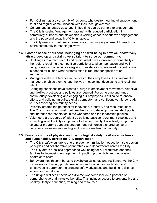- Fort Collins has a diverse mix of residents who desire meaningful engagement, trust and regular communication with their local government.
- Cultural and language gaps and limited time can be barriers to engagement.
- The City is seeing "engagement fatigue" with reduced participation in community outreach and stakeholders voicing concern about over-engagement and the pace and breadth of City initiatives.
- The City needs to continue to reimagine community engagement to reach the entire community in meaningful ways.

#### **7.4 Foster a sense of purpose, belonging and well-being in how we innovatively attract, develop and retain diverse talent to serve our community.**

- Challenges to attract, recruit and retain talent have increased exponentially in the region, requiring a competitive portfolio of total compensation and wellbeing offerings that include caregiving considerations. We need to identify what is needed for all and what customization is required for specific talent segments.
- Managers make a difference in the lives of their employees. An investment in managers enables them to lead the way in coaching, developing and retaining talent.
- Changing conditions have created a surge in employment movement. Adaptive and flexible practices and policies are required. Focusing time and funds in continuously developing and engaging our employees is critical to retention efforts and building an agile, digitally competent and confident workforce ready to meet evolving community needs.
- Diversity creates the potential for innovation, creativity and resourcefulness. The City organization must continue the focus to develop diverse talent pools and increase representation in the workforce and the leadership pipeline.
- Volunteers are a source of talent by building passive recruitment pipelines and extending what the City can provide to the community. Proactively supporting volunteer programs supports engagement, reinforces a shared sense of purpose, creates understanding and builds a resilient community.

#### **7.5 Foster a culture of physical and psychological safety, resilience, wellness and sustainability across the City organization.**

- The City's safety culture is one of prevention, mitigation, education, safe design principles and collaborative partnerships with departments across the City.
- The City offers a holistic approach to well-being for our workforce and their families by increasing engagement, impacting productivity and decreasing health care costs.
- Behavioral health contributes to psychological safety and resilience. As the City increases its diversity profile, resources and training for leadership and employees is paramount to creating safe workspaces and building resilience among our workforce.
- The unique wellness needs of a diverse workforce include a portfolio of comprehensive and inclusive benefits. This includes access to preventative and healthy lifestyle education, training and resources.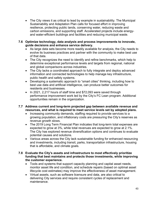- The City views it as critical to lead by example in sustainability. The Municipal Sustainability and Adaptation Plan calls for focused effort in improving resilience, protecting public lands, conserving water, reducing waste and carbon emissions, and supporting staff. Accelerated projects include energyand water-efficient buildings and facilities and reducing municipal waste.
- **7.6 Optimize technology, data analysis and process improvements to innovate, guide decisions and enhance service delivery.** 
	- As large data sets become more readily available for analysis, the City needs to evolve its business practices and partner with the community to make best use of that data.
	- The City recognizes the need to identify and refine benchmarks, which help to determine exceptional performance levels and targets from regional, national and global comparisons across industries.
	- The City lacks a coordinated approach to fully integrate and deploy advanced information and connected technologies to help manage key infrastructure, public health and safety systems.
	- Developing a systematic approach to "smart cities" thinking, including how to best use data and artificial intelligence, can produce better outcomes for residents and businesses.
	- In 2021, 2,217 hours of staff time and \$72,093 were saved through performance improvement work led by the City's FC Lean program. Additional opportunities remain in the organization.

#### **7.7 Address current and long-term projected gap between available revenue and resources, and what is required to meet service levels set by adopted plans.**

- Increasing community demands, staffing required to provide services to a growing population, and inflationary costs are pressuring the City's reserves as revenue growth slows.
- The 2019 Long Term Financial Plan indicates that long-term total expenses are expected to grow at 3%, while total revenues are expected to grow at 2.1%. The City has explored revenue diversification options and continues to evaluate potential causes and solutions.
- Various areas across the City lack sustainable funding for enhanced resourcing and investments, including transit, parks, transportation infrastructure, housing that is affordable, and climate goals.

#### **7.8 Evaluate the City's assets and infrastructure to most effectively prioritize funding that best maintains and protects those investments, while improving the customer experience.**

- Tools and systems that support capacity planning and capital asset needs, monitor asset life and condition, and schedule repairs (based on optimal asset lifecycle cost estimates) may improve the effectiveness of asset management.
- Virtual assets, such as software licensure and data, are also critical to delivering City services and require consistent cycles of replacement and maintenance.